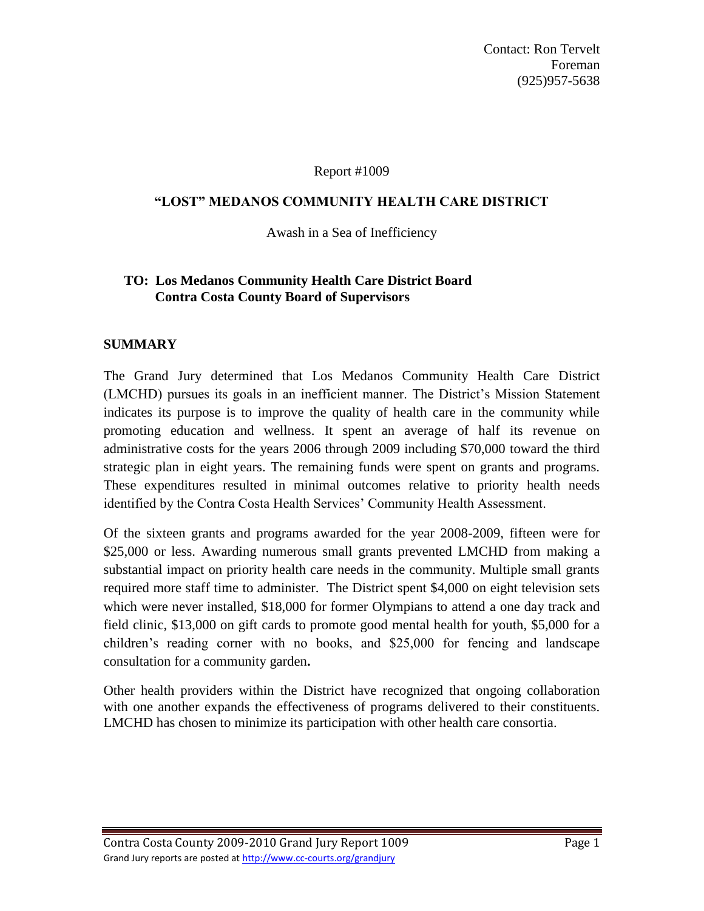Contact: Ron Tervelt Foreman (925)957-5638

#### Report #1009

## **"LOST" MEDANOS COMMUNITY HEALTH CARE DISTRICT**

Awash in a Sea of Inefficiency

# **TO: Los Medanos Community Health Care District Board Contra Costa County Board of Supervisors**

## **SUMMARY**

The Grand Jury determined that Los Medanos Community Health Care District (LMCHD) pursues its goals in an inefficient manner. The District's Mission Statement indicates its purpose is to improve the quality of health care in the community while promoting education and wellness. It spent an average of half its revenue on administrative costs for the years 2006 through 2009 including \$70,000 toward the third strategic plan in eight years. The remaining funds were spent on grants and programs. These expenditures resulted in minimal outcomes relative to priority health needs identified by the Contra Costa Health Services' Community Health Assessment.

Of the sixteen grants and programs awarded for the year 2008-2009, fifteen were for \$25,000 or less. Awarding numerous small grants prevented LMCHD from making a substantial impact on priority health care needs in the community. Multiple small grants required more staff time to administer. The District spent \$4,000 on eight television sets which were never installed, \$18,000 for former Olympians to attend a one day track and field clinic, \$13,000 on gift cards to promote good mental health for youth, \$5,000 for a children's reading corner with no books, and \$25,000 for fencing and landscape consultation for a community garden**.**

Other health providers within the District have recognized that ongoing collaboration with one another expands the effectiveness of programs delivered to their constituents. LMCHD has chosen to minimize its participation with other health care consortia.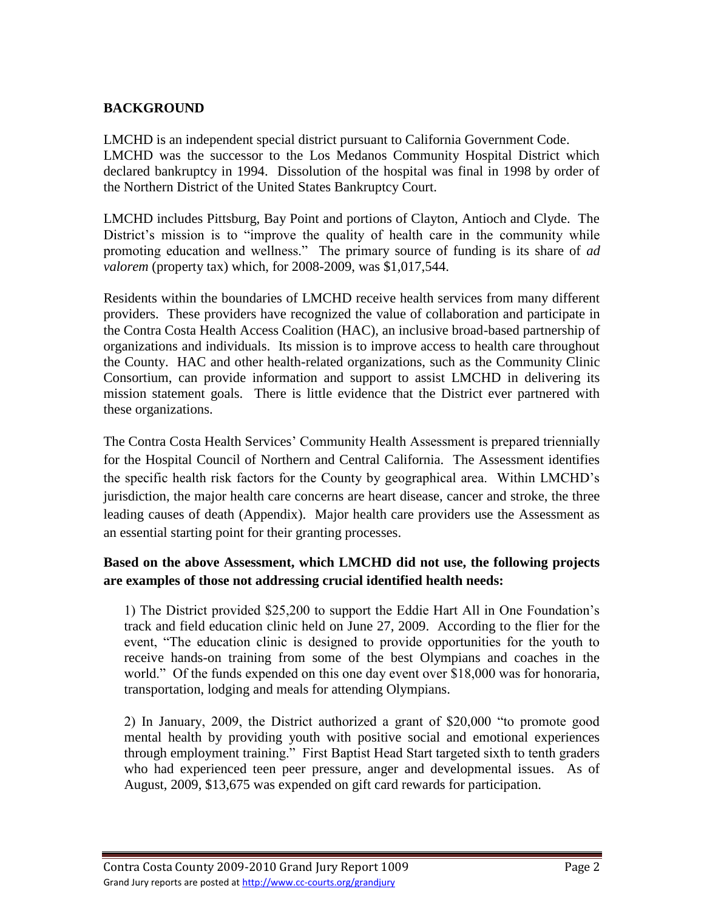# **BACKGROUND**

LMCHD is an independent special district pursuant to California Government Code. LMCHD was the successor to the Los Medanos Community Hospital District which declared bankruptcy in 1994. Dissolution of the hospital was final in 1998 by order of the Northern District of the United States Bankruptcy Court.

LMCHD includes Pittsburg, Bay Point and portions of Clayton, Antioch and Clyde. The District's mission is to "improve the quality of health care in the community while promoting education and wellness." The primary source of funding is its share of *ad valorem* (property tax) which, for 2008-2009, was \$1,017,544.

Residents within the boundaries of LMCHD receive health services from many different providers. These providers have recognized the value of collaboration and participate in the Contra Costa Health Access Coalition (HAC), an inclusive broad-based partnership of organizations and individuals. Its mission is to improve access to health care throughout the County. HAC and other health-related organizations, such as the Community Clinic Consortium, can provide information and support to assist LMCHD in delivering its mission statement goals. There is little evidence that the District ever partnered with these organizations.

The Contra Costa Health Services' Community Health Assessment is prepared triennially for the Hospital Council of Northern and Central California. The Assessment identifies the specific health risk factors for the County by geographical area. Within LMCHD's jurisdiction, the major health care concerns are heart disease, cancer and stroke, the three leading causes of death (Appendix). Major health care providers use the Assessment as an essential starting point for their granting processes.

# **Based on the above Assessment, which LMCHD did not use, the following projects are examples of those not addressing crucial identified health needs:**

1) The District provided \$25,200 to support the Eddie Hart All in One Foundation's track and field education clinic held on June 27, 2009. According to the flier for the event, "The education clinic is designed to provide opportunities for the youth to receive hands-on training from some of the best Olympians and coaches in the world." Of the funds expended on this one day event over \$18,000 was for honoraria, transportation, lodging and meals for attending Olympians.

2) In January, 2009, the District authorized a grant of \$20,000 "to promote good mental health by providing youth with positive social and emotional experiences through employment training." First Baptist Head Start targeted sixth to tenth graders who had experienced teen peer pressure, anger and developmental issues. As of August, 2009, \$13,675 was expended on gift card rewards for participation.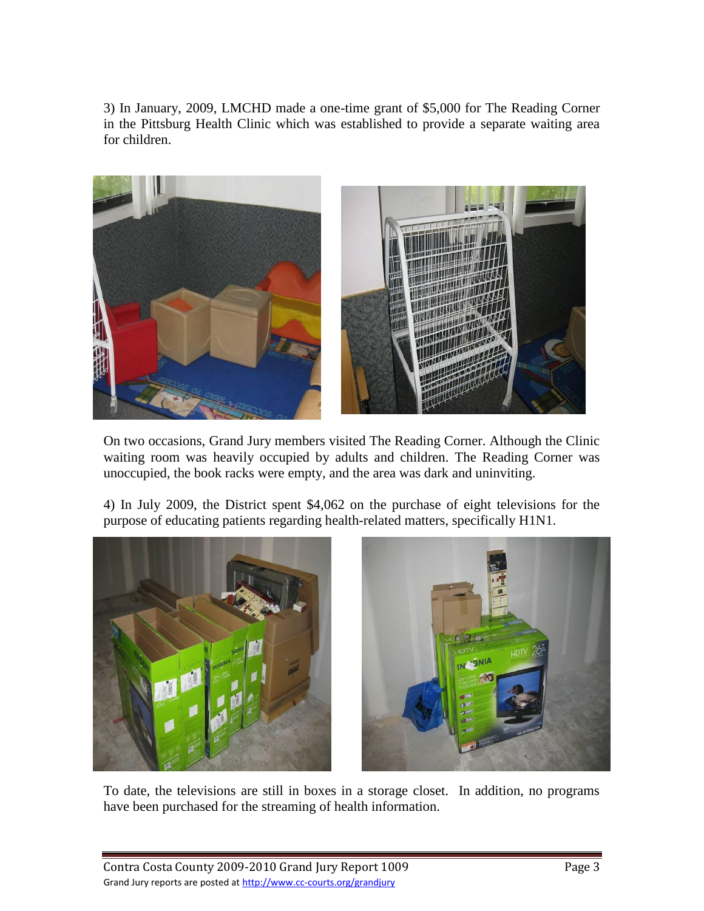3) In January, 2009, LMCHD made a one-time grant of \$5,000 for The Reading Corner in the Pittsburg Health Clinic which was established to provide a separate waiting area for children.



On two occasions, Grand Jury members visited The Reading Corner. Although the Clinic waiting room was heavily occupied by adults and children. The Reading Corner was unoccupied, the book racks were empty, and the area was dark and uninviting.

4) In July 2009, the District spent \$4,062 on the purchase of eight televisions for the purpose of educating patients regarding health-related matters, specifically H1N1.



To date, the televisions are still in boxes in a storage closet. In addition, no programs have been purchased for the streaming of health information.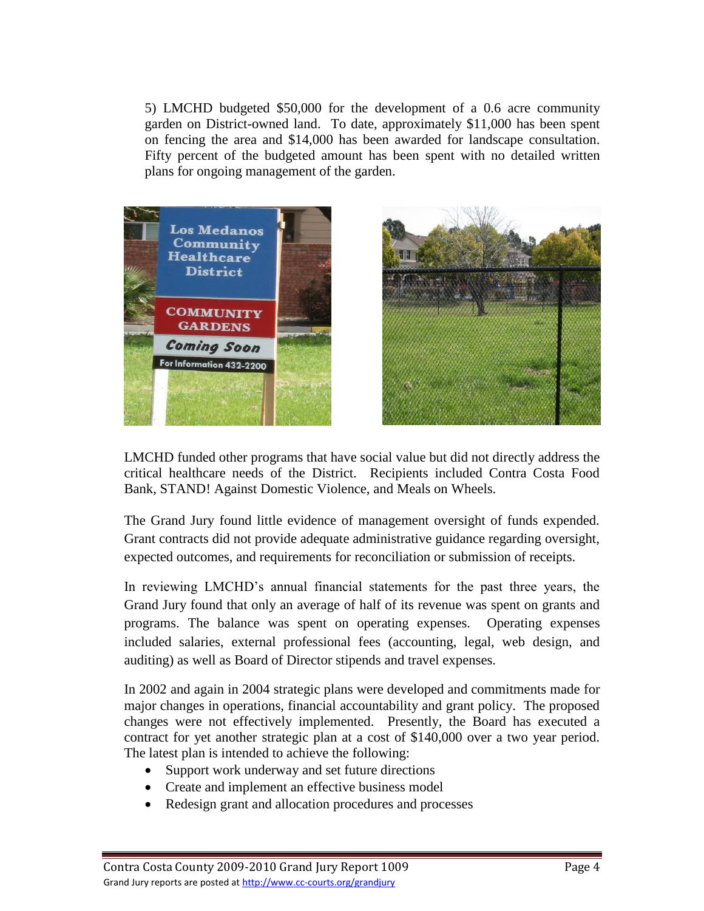5) LMCHD budgeted \$50,000 for the development of a 0.6 acre community garden on District-owned land. To date, approximately \$11,000 has been spent on fencing the area and \$14,000 has been awarded for landscape consultation. Fifty percent of the budgeted amount has been spent with no detailed written plans for ongoing management of the garden.





LMCHD funded other programs that have social value but did not directly address the critical healthcare needs of the District. Recipients included Contra Costa Food Bank, STAND! Against Domestic Violence, and Meals on Wheels.

The Grand Jury found little evidence of management oversight of funds expended. Grant contracts did not provide adequate administrative guidance regarding oversight, expected outcomes, and requirements for reconciliation or submission of receipts.

In reviewing LMCHD's annual financial statements for the past three years, the Grand Jury found that only an average of half of its revenue was spent on grants and programs. The balance was spent on operating expenses. Operating expenses included salaries, external professional fees (accounting, legal, web design, and auditing) as well as Board of Director stipends and travel expenses.

In 2002 and again in 2004 strategic plans were developed and commitments made for major changes in operations, financial accountability and grant policy. The proposed changes were not effectively implemented. Presently, the Board has executed a contract for yet another strategic plan at a cost of \$140,000 over a two year period. The latest plan is intended to achieve the following:

- Support work underway and set future directions
- Create and implement an effective business model
- Redesign grant and allocation procedures and processes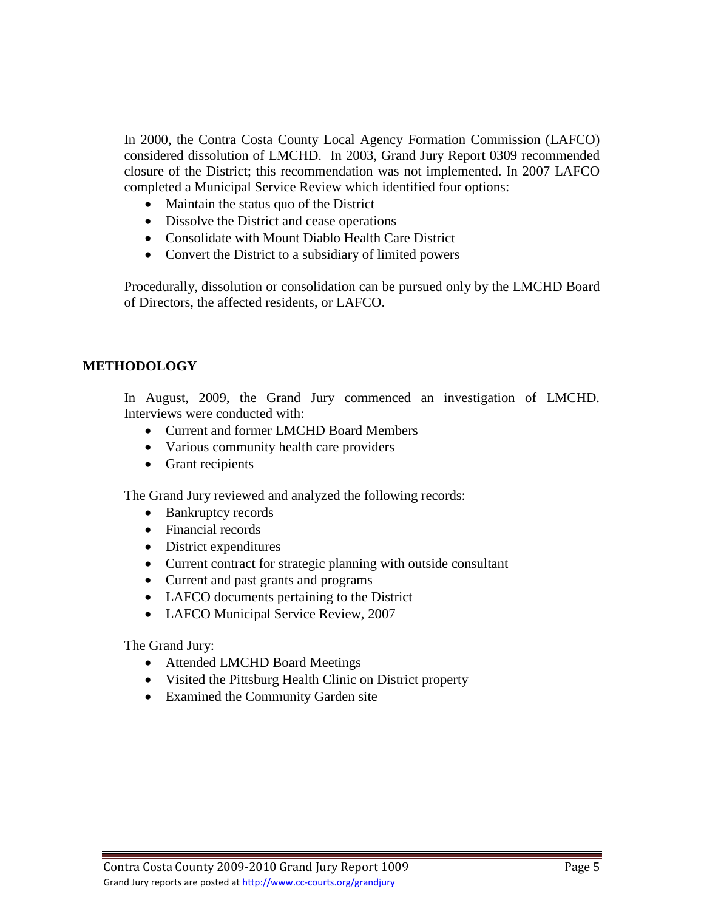In 2000, the Contra Costa County Local Agency Formation Commission (LAFCO) considered dissolution of LMCHD. In 2003, Grand Jury Report 0309 recommended closure of the District; this recommendation was not implemented. In 2007 LAFCO completed a Municipal Service Review which identified four options:

- Maintain the status quo of the District
- Dissolve the District and cease operations
- Consolidate with Mount Diablo Health Care District
- Convert the District to a subsidiary of limited powers

 Procedurally, dissolution or consolidation can be pursued only by the LMCHD Board of Directors, the affected residents, or LAFCO.

## **METHODOLOGY**

In August, 2009, the Grand Jury commenced an investigation of LMCHD. Interviews were conducted with:

- Current and former LMCHD Board Members
- Various community health care providers
- Grant recipients

The Grand Jury reviewed and analyzed the following records:

- Bankruptcy records
- Financial records
- District expenditures
- Current contract for strategic planning with outside consultant
- Current and past grants and programs
- LAFCO documents pertaining to the District
- LAFCO Municipal Service Review, 2007

The Grand Jury:

- Attended LMCHD Board Meetings
- Visited the Pittsburg Health Clinic on District property
- Examined the Community Garden site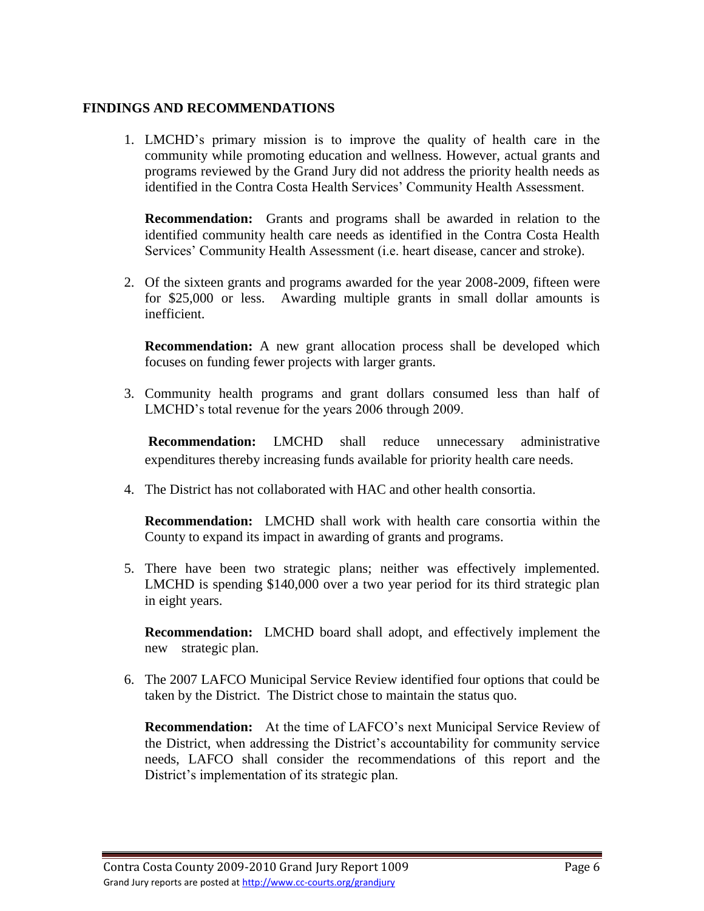# **FINDINGS AND RECOMMENDATIONS**

1. LMCHD's primary mission is to improve the quality of health care in the community while promoting education and wellness. However, actual grants and programs reviewed by the Grand Jury did not address the priority health needs as identified in the Contra Costa Health Services' Community Health Assessment.

**Recommendation:** Grants and programs shall be awarded in relation to the identified community health care needs as identified in the Contra Costa Health Services' Community Health Assessment (i.e. heart disease, cancer and stroke).

2. Of the sixteen grants and programs awarded for the year 2008-2009, fifteen were for \$25,000 or less. Awarding multiple grants in small dollar amounts is inefficient.

**Recommendation:** A new grant allocation process shall be developed which focuses on funding fewer projects with larger grants.

3. Community health programs and grant dollars consumed less than half of LMCHD's total revenue for the years 2006 through 2009.

**Recommendation:** LMCHD shall reduce unnecessary administrative expenditures thereby increasing funds available for priority health care needs.

4. The District has not collaborated with HAC and other health consortia.

**Recommendation:** LMCHD shall work with health care consortia within the County to expand its impact in awarding of grants and programs.

5. There have been two strategic plans; neither was effectively implemented. LMCHD is spending \$140,000 over a two year period for its third strategic plan in eight years.

**Recommendation:** LMCHD board shall adopt, and effectively implement the new strategic plan.

6. The 2007 LAFCO Municipal Service Review identified four options that could be taken by the District. The District chose to maintain the status quo.

**Recommendation:** At the time of LAFCO's next Municipal Service Review of the District, when addressing the District's accountability for community service needs, LAFCO shall consider the recommendations of this report and the District's implementation of its strategic plan.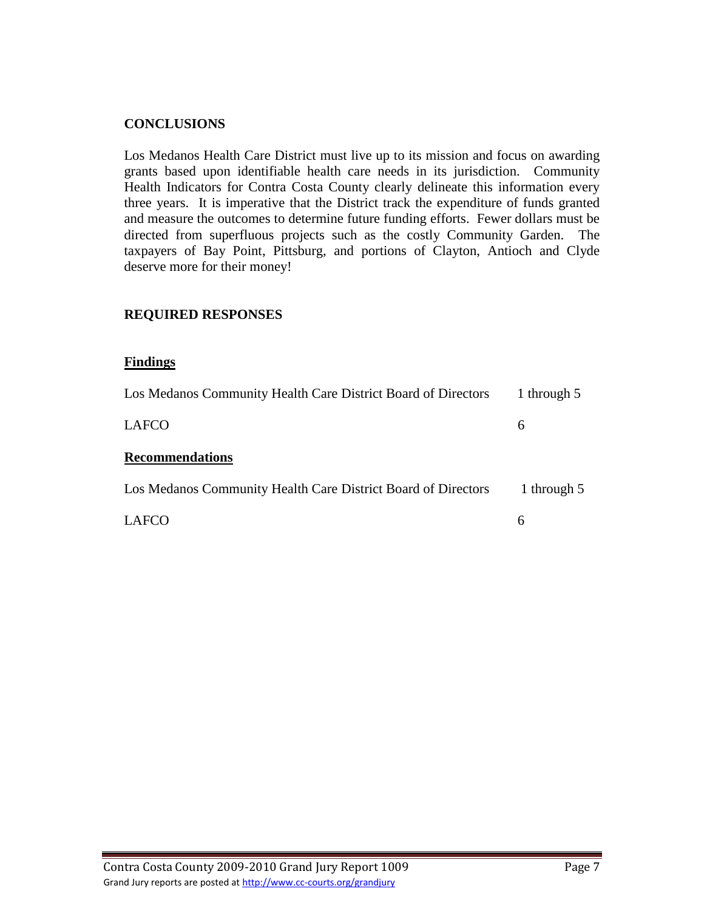## **CONCLUSIONS**

Los Medanos Health Care District must live up to its mission and focus on awarding grants based upon identifiable health care needs in its jurisdiction. Community Health Indicators for Contra Costa County clearly delineate this information every three years. It is imperative that the District track the expenditure of funds granted and measure the outcomes to determine future funding efforts. Fewer dollars must be directed from superfluous projects such as the costly Community Garden. The taxpayers of Bay Point, Pittsburg, and portions of Clayton, Antioch and Clyde deserve more for their money!

## **REQUIRED RESPONSES**

#### **Findings**

| Los Medanos Community Health Care District Board of Directors | 1 through 5 |
|---------------------------------------------------------------|-------------|
| LAFCO                                                         | 6           |
| <b>Recommendations</b>                                        |             |
| Los Medanos Community Health Care District Board of Directors | 1 through 5 |
| LAFCO                                                         | 6           |